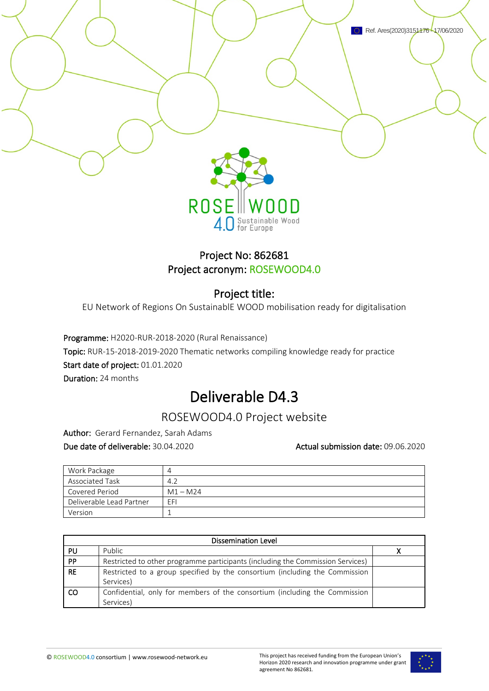

### Project No: 862681 Project acronym: ROSEWOOD4.0

4.0 Sustainable Wood

### Project title:

EU Network of Regions On SustainablE WOOD mobilisation ready for digitalisation

Programme: H2020-RUR-2018-2020 (Rural Renaissance) Topic: RUR-15-2018-2019-2020 Thematic networks compiling knowledge ready for practice Start date of project: 01.01.2020 Duration: 24 months

## Deliverable D4.3

## ROSEWOOD4.0 Project website

Author: Gerard Fernandez, Sarah Adams

Due date of deliverable: 30.04.2020 **Actual submission date: 09.06.2020** Actual submission date: 09.06.2020

| Work Package             | 4          |
|--------------------------|------------|
| Associated Task          | 4.2        |
| Covered Period           | $M1 - M24$ |
| Deliverable Lead Partner | EFI        |
| Version                  |            |

| Dissemination Level |                                                                                |  |  |
|---------------------|--------------------------------------------------------------------------------|--|--|
| PU                  | Public                                                                         |  |  |
| PP                  | Restricted to other programme participants (including the Commission Services) |  |  |
| <b>RE</b>           | Restricted to a group specified by the consortium (including the Commission    |  |  |
|                     | Services)                                                                      |  |  |
| <sub>co</sub>       | Confidential, only for members of the consortium (including the Commission     |  |  |
|                     | Services)                                                                      |  |  |

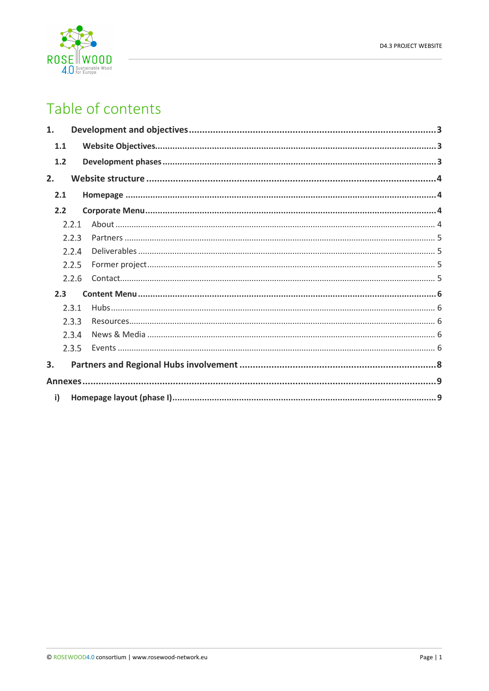

# Table of contents

| 1.  |       |  |
|-----|-------|--|
| 1.1 |       |  |
| 1.2 |       |  |
| 2.  |       |  |
| 2.1 |       |  |
| 2.2 |       |  |
|     | 2.2.1 |  |
|     | 2.2.3 |  |
|     | 2.2.4 |  |
|     | 2.2.5 |  |
|     | 2.2.6 |  |
| 2.3 |       |  |
|     | 2.3.1 |  |
|     | 7.3.3 |  |
|     | 2.3.4 |  |
|     | 2.3.5 |  |
| 3.  |       |  |
|     |       |  |
| i)  |       |  |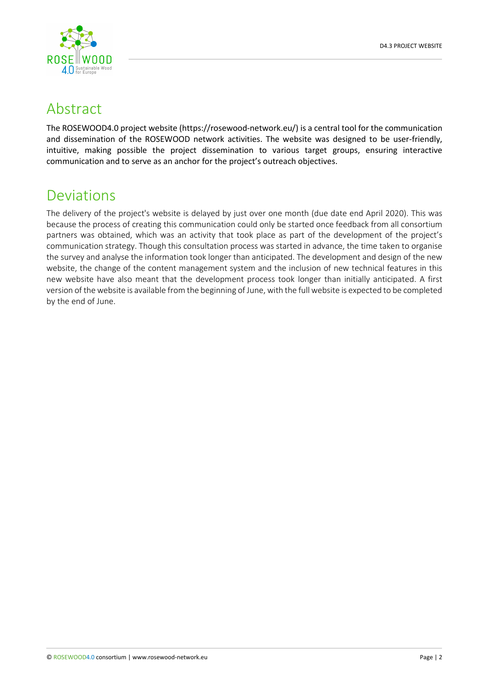

## Abstract

The ROSEWOOD4.0 project website (https://rosewood-network.eu/) is a central tool for the communication and dissemination of the ROSEWOOD network activities. The website was designed to be user-friendly, intuitive, making possible the project dissemination to various target groups, ensuring interactive communication and to serve as an anchor for the project's outreach objectives.

## Deviations

The delivery of the project's website is delayed by just over one month (due date end April 2020). This was because the process of creating this communication could only be started once feedback from all consortium partners was obtained, which was an activity that took place as part of the development of the project's communication strategy. Though this consultation process was started in advance, the time taken to organise the survey and analyse the information took longer than anticipated. The development and design of the new website, the change of the content management system and the inclusion of new technical features in this new website have also meant that the development process took longer than initially anticipated. A first version of the website is available from the beginning of June, with the full website is expected to be completed by the end of June.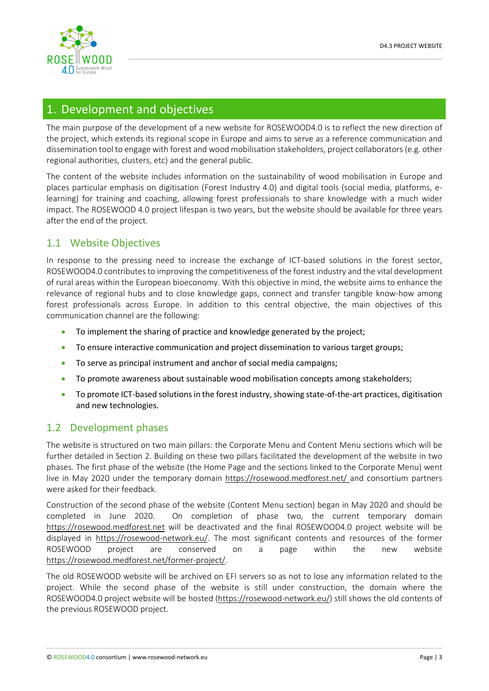

### <span id="page-3-0"></span>1. Development and objectives

The main purpose of the development of a new website for ROSEWOOD4.0 is to reflect the new direction of the project, which extends its regional scope in Europe and aims to serve as a reference communication and dissemination tool to engage with forest and wood mobilisation stakeholders, project collaborators (e.g. other regional authorities, clusters, etc) and the general public.

The content of the website includes information on the sustainability of wood mobilisation in Europe and places particular emphasis on digitisation (Forest Industry 4.0) and digital tools (social media, platforms, elearning) for training and coaching, allowing forest professionals to share knowledge with a much wider impact. The ROSEWOOD 4.0 project lifespan is two years, but the website should be available for three years after the end of the project.

### <span id="page-3-1"></span>1.1 Website Objectives

In response to the pressing need to increase the exchange of ICT-based solutions in the forest sector, ROSEWOOD4.0 contributes to improving the competitiveness of the forest industry and the vital development of rural areas within the European bioeconomy. With this objective in mind, the website aims to enhance the relevance of regional hubs and to close knowledge gaps, connect and transfer tangible know-how among forest professionals across Europe. In addition to this central objective, the main objectives of this communication channel are the following:

- To implement the sharing of practice and knowledge generated by the project;
- To ensure interactive communication and project dissemination to various target groups;
- To serve as principal instrument and anchor of social media campaigns;
- To promote awareness about sustainable wood mobilisation concepts among stakeholders;
- To promote ICT-based solutions in the forest industry, showing state-of-the-art practices, digitisation and new technologies.

### <span id="page-3-2"></span>1.2 Development phases

The website is structured on two main pillars: the Corporate Menu and Content Menu sections which will be further detailed in Section 2. Building on these two pillars facilitated the development of the website in two phases. The first phase of the website (the Home Page and the sections linked to the Corporate Menu) went live in May 2020 under the temporary domain<https://rosewood.medforest.net/> and consortium partners were asked for their feedback.

Construction of the second phase of the website (Content Menu section) began in May 2020 and should be completed in June 2020. On completion of phase two, the current temporary domain [https://rosewood.medforest.net](https://rosewood.medforest.net/) will be deactivated and the final ROSEWOOD4.0 project website will be displayed in [https://rosewood-network.eu/.](https://rosewood-network.eu/) The most significant contents and resources of the former ROSEWOOD project are conserved on a page within the new website [https://rosewood.medforest.net/former-project/.](https://rosewood.medforest.net/former-project/) 

The old ROSEWOOD website will be archived on EFI servers so as not to lose any information related to the project. While the second phase of the website is still under construction, the domain where the ROSEWOOD4.0 project website will be hosted [\(https://rosewood-network.eu/\)](https://rosewood-network.eu/) still shows the old contents of the previous ROSEWOOD project.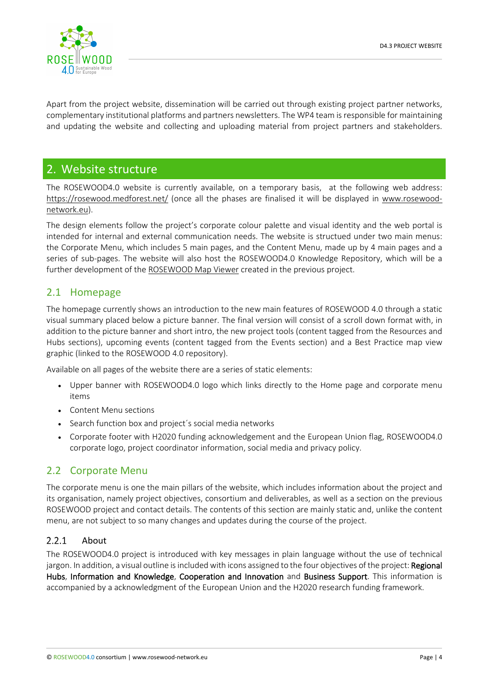

Apart from the project website, dissemination will be carried out through existing project partner networks, complementary institutional platforms and partners newsletters. The WP4 team is responsible for maintaining and updating the website and collecting and uploading material from project partners and stakeholders.

### <span id="page-4-0"></span>2. Website structure

The ROSEWOOD4.0 website is currently available, on a temporary basis, at the following web address: <https://rosewood.medforest.net/> (once all the phases are finalised it will be displayed in [www.rosewood](http://www.rosewood-network.eu/)[network.eu\)](http://www.rosewood-network.eu/).

The design elements follow the project's corporate colour palette and visual identity and the web portal is intended for internal and external communication needs. The website is structued under two main menus: the Corporate Menu, which includes 5 main pages, and the Content Menu, made up by 4 main pages and a series of sub-pages. The website will also host the ROSEWOOD4.0 Knowledge Repository, which will be a further development of th[e ROSEWOOD Map Viewer](https://mapviewer.rosewood-network.eu/) created in the previous project.

### <span id="page-4-1"></span>2.1 Homepage

The homepage currently shows an introduction to the new main features of ROSEWOOD 4.0 through a static visual summary placed below a picture banner. The final version will consist of a scroll down format with, in addition to the picture banner and short intro, the new project tools (content tagged from the Resources and Hubs sections), upcoming events (content tagged from the Events section) and a Best Practice map view graphic (linked to the ROSEWOOD 4.0 repository).

Available on all pages of the website there are a series of static elements:

- Upper banner with ROSEWOOD4.0 logo which links directly to the Home page and corporate menu items
- Content Menu sections
- Search function box and project´s social media networks
- Corporate footer with H2020 funding acknowledgement and the European Union flag, ROSEWOOD4.0 corporate logo, project coordinator information, social media and privacy policy.

### <span id="page-4-2"></span>2.2 Corporate Menu

The corporate menu is one the main pillars of the website, which includes information about the project and its organisation, namely project objectives, consortium and deliverables, as well as a section on the previous ROSEWOOD project and contact details. The contents of this section are mainly static and, unlike the content menu, are not subject to so many changes and updates during the course of the project.

#### <span id="page-4-3"></span> $2.2.1$ About

The ROSEWOOD4.0 project is introduced with key messages in plain language without the use of technical jargon. In addition, a visual outline is included with icons assigned to the four objectives of the project: Regional Hubs, Information and Knowledge, Cooperation and Innovation and Business Support. This information is accompanied by a acknowledgment of the European Union and the H2020 research funding framework.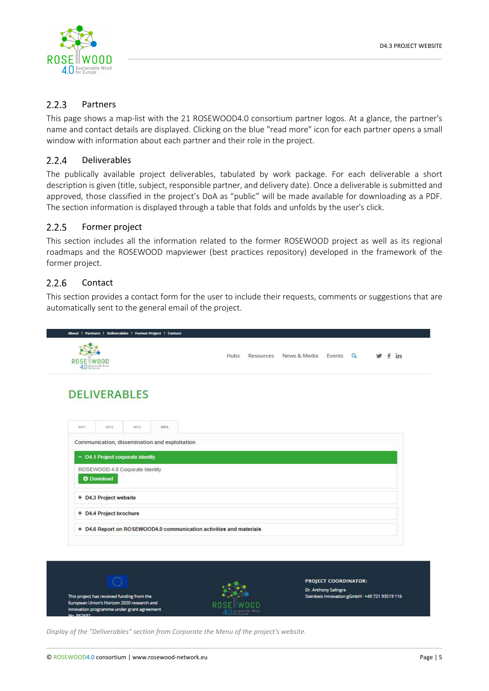

#### <span id="page-5-0"></span> $2.2.3$ Partners

This page shows a map-list with the 21 ROSEWOOD4.0 consortium partner logos. At a glance, the partner's name and contact details are displayed. Clicking on the blue "read more" icon for each partner opens a small window with information about each partner and their role in the project.

#### <span id="page-5-1"></span> $2.2.4$ Deliverables

The publically available project deliverables, tabulated by work package. For each deliverable a short description is given (title, subject, responsible partner, and delivery date). Once a deliverable is submitted and approved, those classified in the project's DoA as "public" will be made available for downloading as a PDF. The section information is displayed through a table that folds and unfolds by the user's click.

#### <span id="page-5-2"></span> $2.2.5$ Former project

This section includes all the information related to the former ROSEWOOD project as well as its regional roadmaps and the ROSEWOOD mapviewer (best practices repository) developed in the framework of the former project.

#### <span id="page-5-3"></span> $2.2.6$ Contact

This section provides a contact form for the user to include their requests, comments or suggestions that are automatically sent to the general email of the project.



*Display of the "Deliverables" section from Corporate the Menu of the project's website.*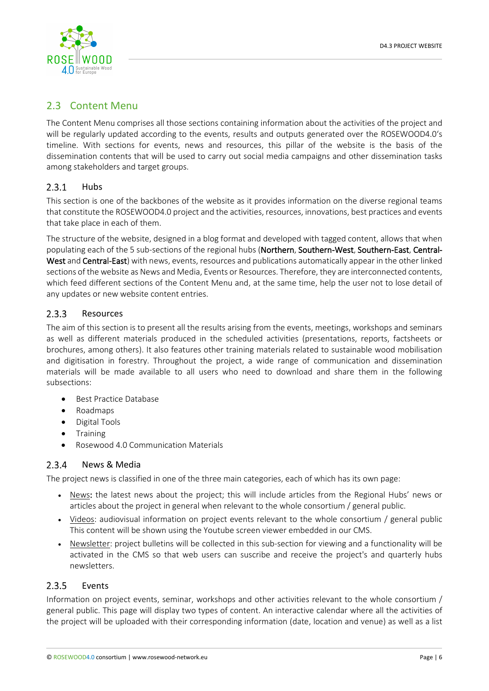

### <span id="page-6-0"></span>2.3 Content Menu

The Content Menu comprises all those sections containing information about the activities of the project and will be regularly updated according to the events, results and outputs generated over the ROSEWOOD4.0's timeline. With sections for events, news and resources, this pillar of the website is the basis of the dissemination contents that will be used to carry out social media campaigns and other dissemination tasks among stakeholders and target groups.

#### <span id="page-6-1"></span> $2.3.1$ Hubs

This section is one of the backbones of the website as it provides information on the diverse regional teams that constitute the ROSEWOOD4.0 project and the activities, resources, innovations, best practices and events that take place in each of them.

The structure of the website, designed in a blog format and developed with tagged content, allows that when populating each of the 5 sub-sections of the regional hubs (Northern, Southern-West, Southern-East, Central-West and Central-East) with news, events, resources and publications automatically appear in the other linked sections of the website as News and Media, Events or Resources. Therefore, they are interconnected contents, which feed different sections of the Content Menu and, at the same time, help the user not to lose detail of any updates or new website content entries.

#### <span id="page-6-2"></span> $2.3.3$ Resources

The aim of this section is to present all the results arising from the events, meetings, workshops and seminars as well as different materials produced in the scheduled activities (presentations, reports, factsheets or brochures, among others). It also features other training materials related to sustainable wood mobilisation and digitisation in forestry. Throughout the project, a wide range of communication and dissemination materials will be made available to all users who need to download and share them in the following subsections:

- Best Practice Database
- Roadmaps
- Digital Tools
- Training
- <span id="page-6-3"></span>• Rosewood 4.0 Communication Materials

#### $2.3.4$ News & Media

The project news is classified in one of the three main categories, each of which has its own page:

- News: the latest news about the project; this will include articles from the Regional Hubs' news or articles about the project in general when relevant to the whole consortium / general public.
- Videos: audiovisual information on project events relevant to the whole consortium / general public This content will be shown using the Youtube screen viewer embedded in our CMS.
- Newsletter: project bulletins will be collected in this sub-section for viewing and a functionality will be activated in the CMS so that web users can suscribe and receive the project's and quarterly hubs newsletters.

#### <span id="page-6-4"></span> $2.3.5$ Events

Information on project events, seminar, workshops and other activities relevant to the whole consortium / general public. This page will display two types of content. An interactive calendar where all the activities of the project will be uploaded with their corresponding information (date, location and venue) as well as a list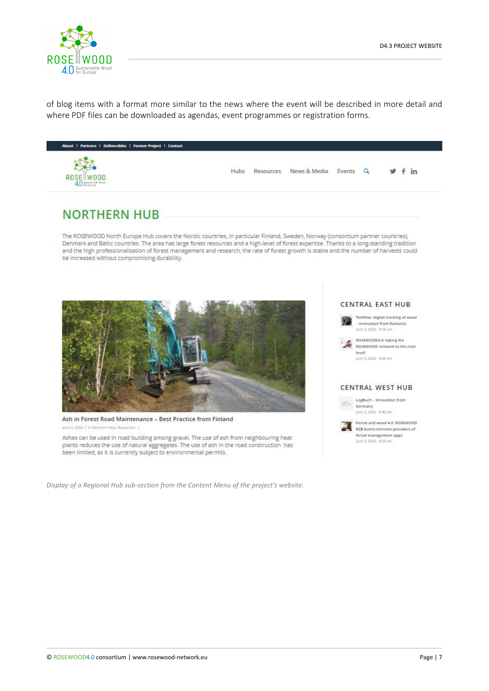

of blog items with a format more similar to the news where the event will be described in more detail and where PDF files can be downloaded as agendas, event programmes or registration forms.



## **NORTHERN HUB**

The ROSEWOOD North Europe Hub covers the Nordic countries, in particular Finland, Sweden, Norway (consortium partner countries), Denmark and Baltic countries. The area has large forest resources and a high-level of forest expertise. Thanks to a long-standing tradition and the high professionalisation of forest management and research, the rate of forest growth is stable and the number of harvests could be increased without compromising durability.



Ash in Forest Road Maintenance - Best Practice from Finland June 2, 2020 / In Northern Hub, Resources

Ashes can be used in road building among gravel. The use of ash from neighbouring heat plants reduces the use of natural aggregates. The use of ash in the road construction has been limited, as it is currently subject to environmental permits.

*Display of a Regional Hub sub-section from the Content Menu of the project's website.*

#### **CENTRAL EAST HUB**



- Innovation from Romania June 3, 2020 - 9:18 am ROSEWOOD4.0: taking the

ROSEWOOD network to the next levels fune 2, 2020 - RdR am

#### **CENTRAL WEST HUB**



Forest and wood 4.0: ROSEWOOD

B2B Event connects providers of forest management apps June 3, 2020 - 8:34 am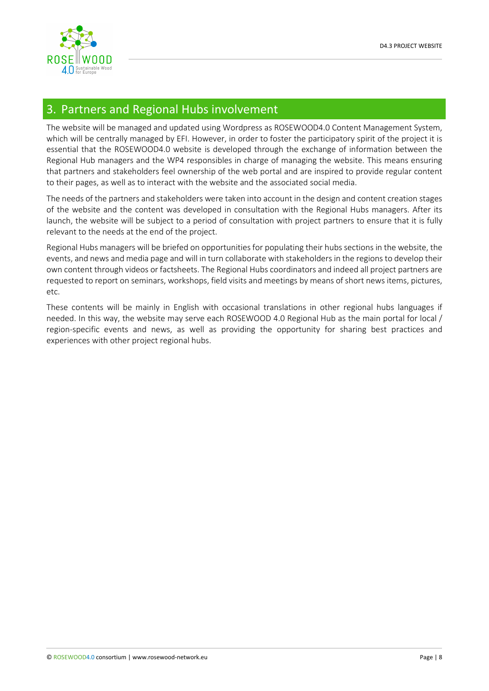

### <span id="page-8-0"></span>3. Partners and Regional Hubs involvement

The website will be managed and updated using Wordpress as ROSEWOOD4.0 Content Management System, which will be centrally managed by EFI. However, in order to foster the participatory spirit of the project it is essential that the ROSEWOOD4.0 website is developed through the exchange of information between the Regional Hub managers and the WP4 responsibles in charge of managing the website. This means ensuring that partners and stakeholders feel ownership of the web portal and are inspired to provide regular content to their pages, as well as to interact with the website and the associated social media.

The needs of the partners and stakeholders were taken into account in the design and content creation stages of the website and the content was developed in consultation with the Regional Hubs managers. After its launch, the website will be subject to a period of consultation with project partners to ensure that it is fully relevant to the needs at the end of the project.

Regional Hubs managers will be briefed on opportunities for populating their hubs sections in the website, the events, and news and media page and will in turn collaborate with stakeholders in the regions to develop their own content through videos or factsheets. The Regional Hubs coordinators and indeed all project partners are requested to report on seminars, workshops, field visits and meetings by means of short news items, pictures, etc.

These contents will be mainly in English with occasional translations in other regional hubs languages if needed. In this way, the website may serve each ROSEWOOD 4.0 Regional Hub as the main portal for local / region-specific events and news, as well as providing the opportunity for sharing best practices and experiences with other project regional hubs.